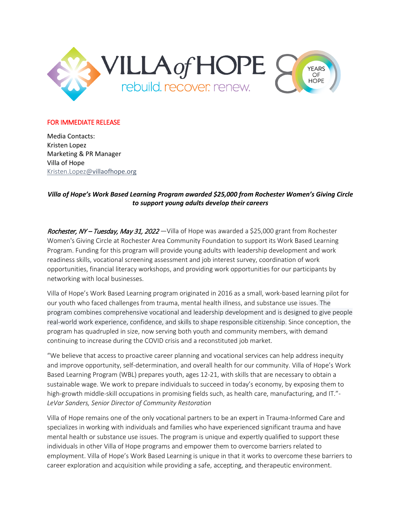

## FOR IMMEDIATE RELEASE

Media Contacts: Kristen Lopez Marketing & PR Manager Villa of Hope [Kristen.Lopez@](mailto:Kristen.Lopez@)villaofhope.org

## *Villa of Hope's Work Based Learning Program awarded \$25,000 from Rochester Women's Giving Circle to support young adults develop their careers*

Rochester, NY – Tuesday, May 31, 2022 – Villa of Hope was awarded a \$25,000 grant from Rochester Women's Giving Circle at Rochester Area Community Foundation to support its Work Based Learning Program. Funding for this program will provide young adults with leadership development and work readiness skills, vocational screening assessment and job interest survey, coordination of work opportunities, financial literacy workshops, and providing work opportunities for our participants by networking with local businesses.

Villa of Hope's Work Based Learning program originated in 2016 as a small, work-based learning pilot for our youth who faced challenges from trauma, mental health illness, and substance use issues. The program combines comprehensive vocational and leadership development and is designed to give people real-world work experience, confidence, and skills to shape responsible citizenship. Since conception, the program has quadrupled in size, now serving both youth and community members, with demand continuing to increase during the COVID crisis and a reconstituted job market.

"We believe that access to proactive career planning and vocational services can help address inequity and improve opportunity, self-determination, and overall health for our community. Villa of Hope's Work Based Learning Program (WBL) prepares youth, ages 12-21, with skills that are necessary to obtain a sustainable wage. We work to prepare individuals to succeed in today's economy, by exposing them to high-growth middle-skill occupations in promising fields such, as health care, manufacturing, and IT."- *LeVar Sanders, Senior Director of Community Restoration* 

Villa of Hope remains one of the only vocational partners to be an expert in Trauma-Informed Care and specializes in working with individuals and families who have experienced significant trauma and have mental health or substance use issues. The program is unique and expertly qualified to support these individuals in other Villa of Hope programs and empower them to overcome barriers related to employment. Villa of Hope's Work Based Learning is unique in that it works to overcome these barriers to career exploration and acquisition while providing a safe, accepting, and therapeutic environment.